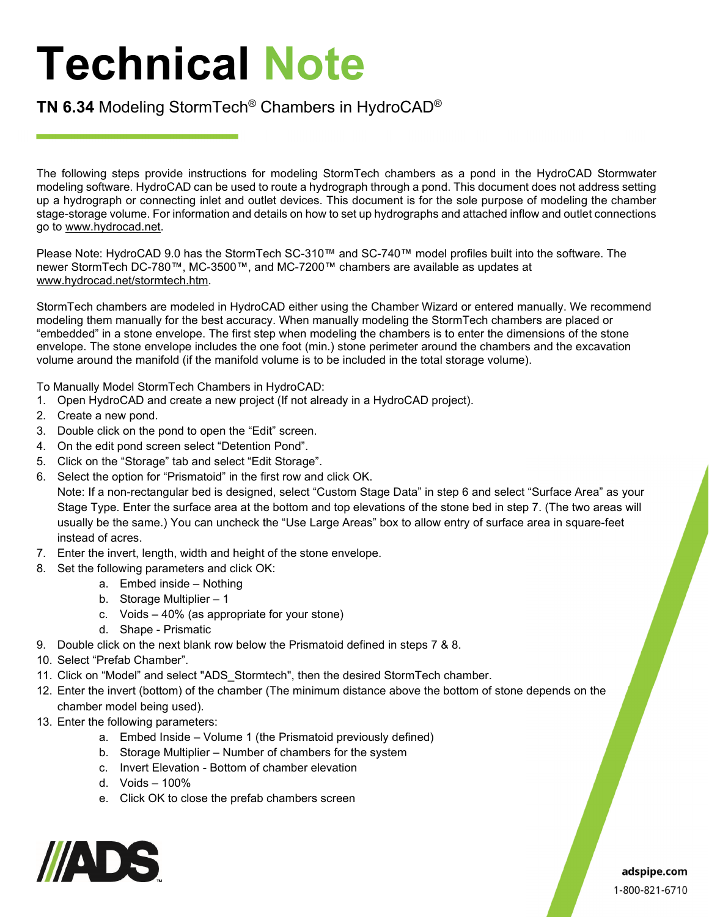## **Technical Note**

## **TN 6.34** Modeling StormTech® Chambers in HydroCAD®

The following steps provide instructions for modeling StormTech chambers as a pond in the HydroCAD Stormwater modeling software. HydroCAD can be used to route a hydrograph through a pond. This document does not address setting up a hydrograph or connecting inlet and outlet devices. This document is for the sole purpose of modeling the chamber stage-storage volume. For information and details on how to set up hydrographs and attached inflow and outlet connections go to www.hydrocad.net.

Please Note: HydroCAD 9.0 has the StormTech SC-310™ and SC-740™ model profiles built into the software. The newer StormTech DC-780™, MC-3500™, and MC-7200™ chambers are available as updates at www.hydrocad.net/stormtech.htm.

StormTech chambers are modeled in HydroCAD either using the Chamber Wizard or entered manually. We recommend modeling them manually for the best accuracy. When manually modeling the StormTech chambers are placed or "embedded" in a stone envelope. The first step when modeling the chambers is to enter the dimensions of the stone envelope. The stone envelope includes the one foot (min.) stone perimeter around the chambers and the excavation volume around the manifold (if the manifold volume is to be included in the total storage volume).

To Manually Model StormTech Chambers in HydroCAD:

- 1. Open HydroCAD and create a new project (If not already in a HydroCAD project).
- 2. Create a new pond.
- 3. Double click on the pond to open the "Edit" screen.
- 4. On the edit pond screen select "Detention Pond".
- 5. Click on the "Storage" tab and select "Edit Storage".
- 6. Select the option for "Prismatoid" in the first row and click OK.

Note: If a non-rectangular bed is designed, select "Custom Stage Data" in step 6 and select "Surface Area" as your Stage Type. Enter the surface area at the bottom and top elevations of the stone bed in step 7. (The two areas will usually be the same.) You can uncheck the "Use Large Areas" box to allow entry of surface area in square-feet instead of acres.

- 7. Enter the invert, length, width and height of the stone envelope.
- 8. Set the following parameters and click OK:
	- a. Embed inside Nothing
	- b. Storage Multiplier 1
	- c. Voids 40% (as appropriate for your stone)
	- d. Shape Prismatic
- 9. Double click on the next blank row below the Prismatoid defined in steps 7 & 8.
- 10. Select "Prefab Chamber".
- 11. Click on "Model" and select "ADS\_Stormtech", then the desired StormTech chamber.
- 12. Enter the invert (bottom) of the chamber (The minimum distance above the bottom of stone depends on the chamber model being used).
- 13. Enter the following parameters:
	- a. Embed Inside Volume 1 (the Prismatoid previously defined)
	- b. Storage Multiplier Number of chambers for the system
	- c. Invert Elevation Bottom of chamber elevation
	- d. Voids 100%
	- e. Click OK to close the prefab chambers screen